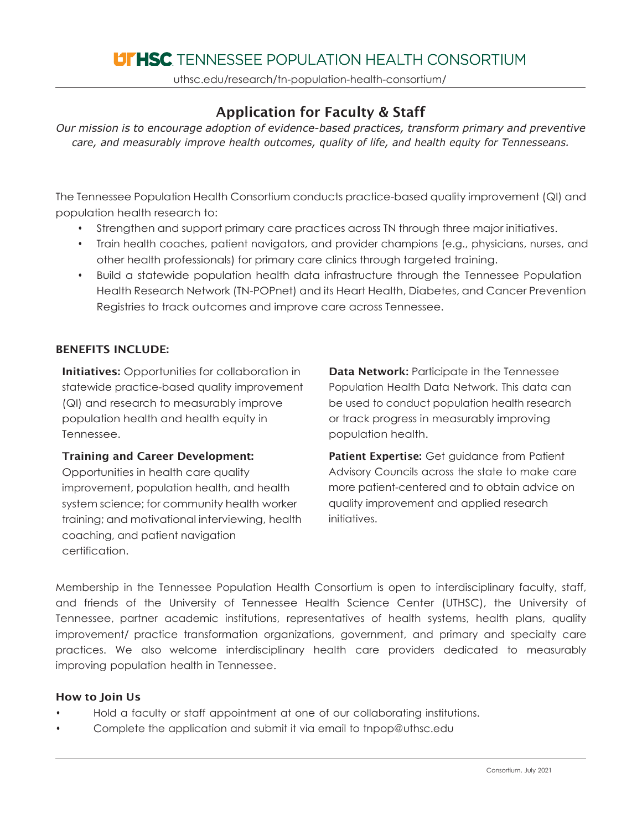# **LITHSC** TENNESSEE POPULATION HEALTH CONSORTIUM

uthsc.edu/research/tn-population-health-consortium/

## Application for Faculty & Staff

*Our mission is to encourage adoption of evidence-based practices, transform primary and preventive care, and measurably improve health outcomes, quality of life, and health equity for Tennesseans.*

The Tennessee Population Health Consortium conducts practice-based quality improvement (QI) and population health research to:

- Strengthen and support primary care practices across TN through three major initiatives.
- Train health coaches, patient navigators, and provider champions (e.g., physicians, nurses, and other health professionals) for primary care clinics through targeted training.
- Build a statewide population health data infrastructure through the Tennessee Population Health Research Network (TN-POPnet) and its Heart Health, Diabetes, and Cancer Prevention Registries to track outcomes and improve care across Tennessee.

### BENEFITS INCLUDE:

**Initiatives:** Opportunities for collaboration in statewide practice-based quality improvement (QI) and research to measurably improve population health and health equity in Tennessee.

#### Training and Career Development:

Opportunities in health care quality improvement, population health, and health system science; for community health worker training; and motivational interviewing, health coaching, and patient navigation certification.

Data Network**:** Participate in the Tennessee Population Health Data Network. This data can be used to conduct population health research or track progress in measurably improving population health.

Patient Expertise: Get quidance from Patient Advisory Councils across the state to make care more patient-centered and to obtain advice on quality improvement and applied research initiatives.

Membership in the Tennessee Population Health Consortium is open to interdisciplinary faculty, staff, and friends of the University of Tennessee Health Science Center (UTHSC), the University of Tennessee, partner academic institutions, representatives of health systems, health plans, quality improvement/ practice transformation organizations, government, and primary and specialty care practices. We also welcome interdisciplinary health care providers dedicated to measurably improving population health in Tennessee.

#### How to Join Us

- Hold a faculty or staff appointment at one of our collaborating institutions.
- Complete the application and submit it via email to [tnpop@uthsc.edu](mailto:tnpop@uthsc.edu)